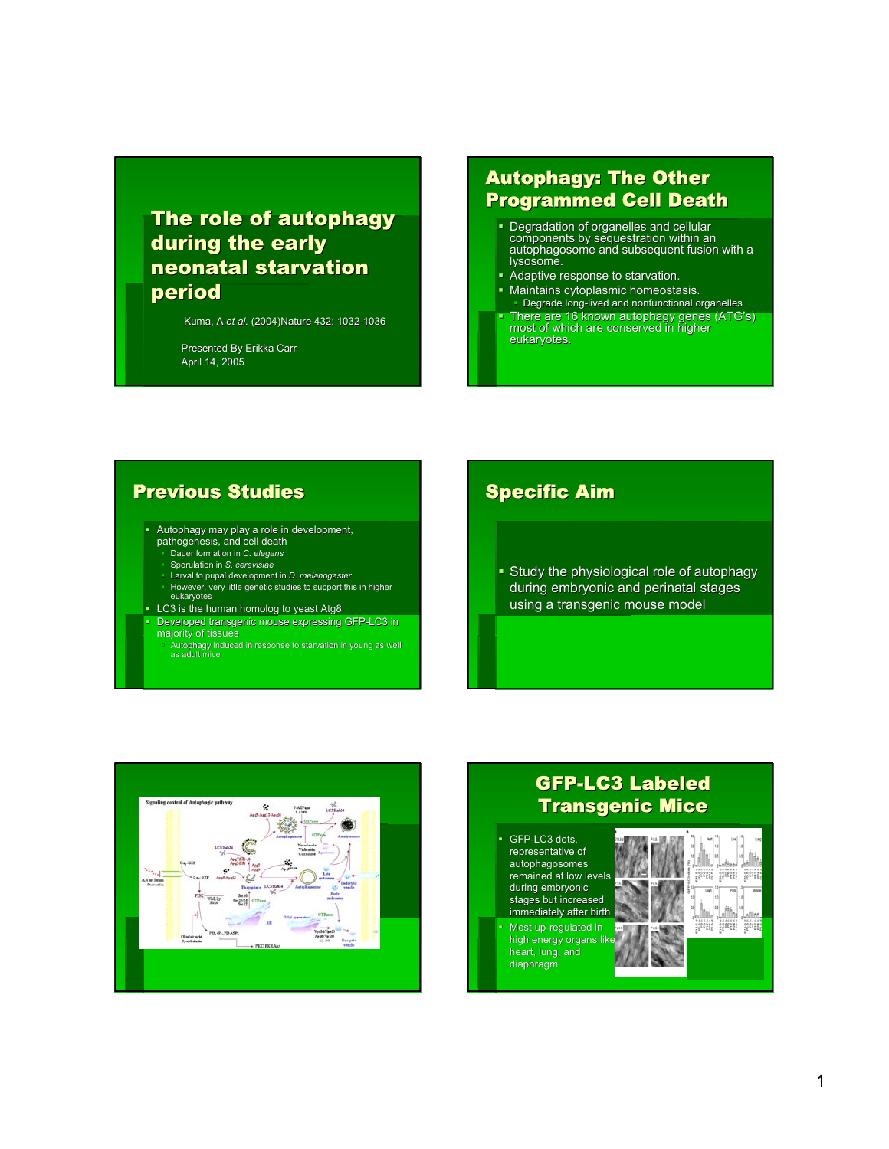# The role of autophagy during the early neonatal starvation period

Kuma, A *et al.* (2004)Nature 432: 1032-1036

Presented By Erikka Carr April 14, 2005

## **Autophagy: The Other** Programmed Cell Death

- Degradation of organelles and cellular Degradation of organelles components by sequestration within an components by sequestration within an autophagosome and subsequent fusion with a autophagosome subsequent fusion with a lysosome. lysosome.
- Adaptive response to starvation.
- **Maintains cytoplasmic homeostasis.** Degrade long-lived and nonfunctional organelles
- There are 16 known autophagy genes (ATG's)<br>most of which are conserved in higher eukaryotes.

## Previous Studies

- Autophagy may play a role in development, pathogenesis, and cell death Dauer formation in *C. elegans*
	- Sporulation in *S. cerevisiae*
	- Larval to pupal development in *D. melanogaster*
	- However, very little genetic studies to support this in higher eukaryotes
- LC3 is the human homolog to yeast Atg8
- Developed transgenic mouse expressing GFP-LC3 in majority of tissues
	- Autophagy induced in response to starvation in young as well as adult mice

## Specific Aim

Study the physiological role of autophagy during embryonic and perinatal stages using a transgenic mouse model



## **GFP-LC3 Labeled** Transgenic Mice

- GFP-LC3 dots, representative of autophagosomes remained at low levels during embryonic stages but increased immediately after birth
- Most up-regulated in high energy organs lik heart, lung, and diaphragm

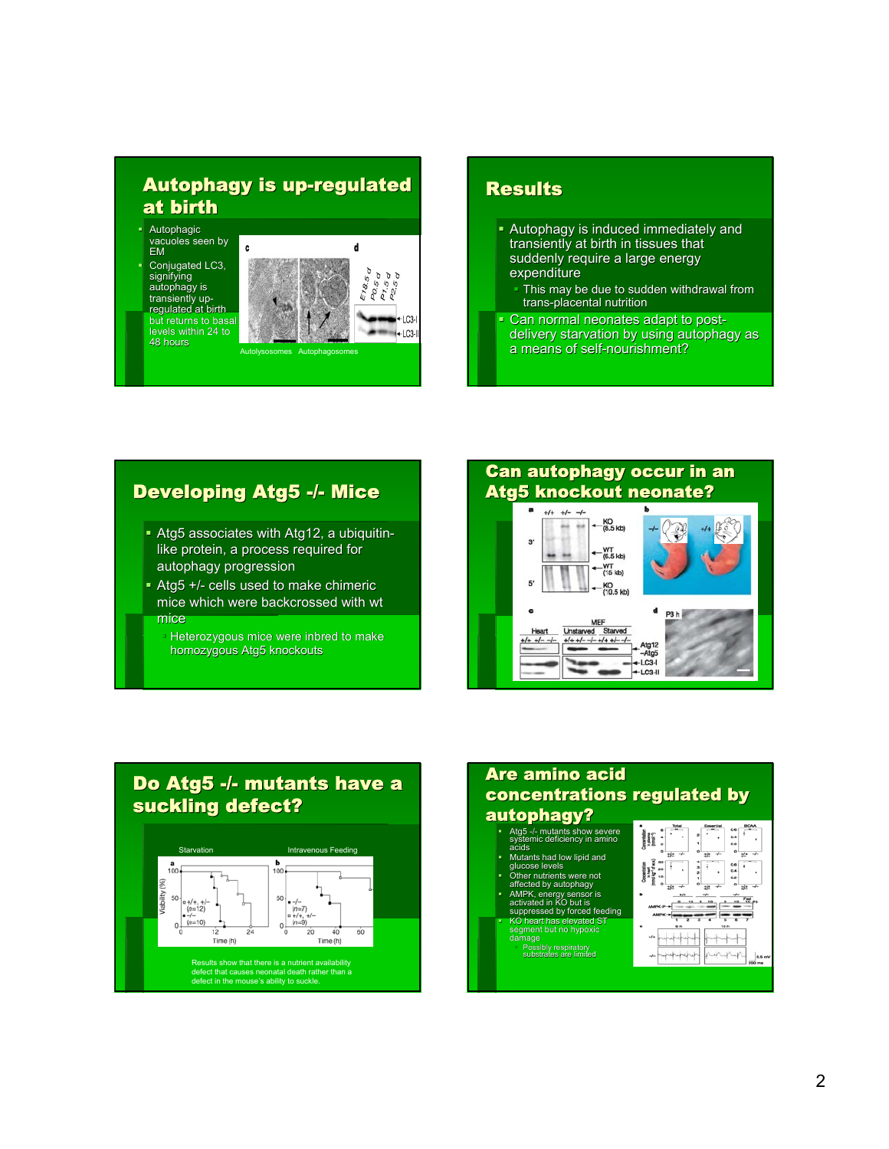## Autophagy is up-regulated at birth

- Autophagic vacuoles seen by EM
- Conjugated LC3, signifying<br>autophagy is transiently upregulated at birth but returns to basal levels within 24 to 48 hours



#### **Results**

- Autophagy is induced immediately and transiently at birth in tissues that suddenly require a large energy expenditure
	- This may be due to sudden withdrawal from trans-placental nutrition
- Can normal neonates adapt to postdelivery starvation by using autophagy as a means of self-nourishment?

## Developing Atg5 -/- Mice

- Atg5 associates with Atg12, a ubiquitinlike protein, a process required for autophagy progression
- $\blacktriangleright$  Atg5 +/- cells used to make chimeric mice which were backcrossed with wt mice
	- Heterozygous mice were inbred to make
	- homozygous Atg5 knockouts

#### **Can autophagy occur in an** Atg5 knockout neonate?  $+/- +/- -/ +\frac{KO}{(8.5 \text{ kb})}$  $3'$  $-WT$ <br> $(6.5 \text{ kb})$ WT<br>(15 kb) 5 KO<br>(10.5 kb) c d P3 h **MEF** MEF<br>Unstarved Starved<br> $+/+$  +/- -/- +/+ +/- -/-Heart  $+/- +/- -/-$ Atg12  $-Ata5$  $-LC3-I$ LC3-II

#### Do Atg5 -/- mutants have a suckling defect?



#### **Are amino acid** concentrations regulated by autophagy?

- Atg5 -/- mutants show severe systemic deficiency in amino
- acids Mutants had low lipid and glucose levels
- 
- 
- Other nutrients were not affected by autophagy AMPK, energy sensor is activated in KO but is suppressed by forced feeding KO heart has elevated ST segment but no hypoxic

Possibly respiratory substrates are limited



0.4<br>0.2 ù.